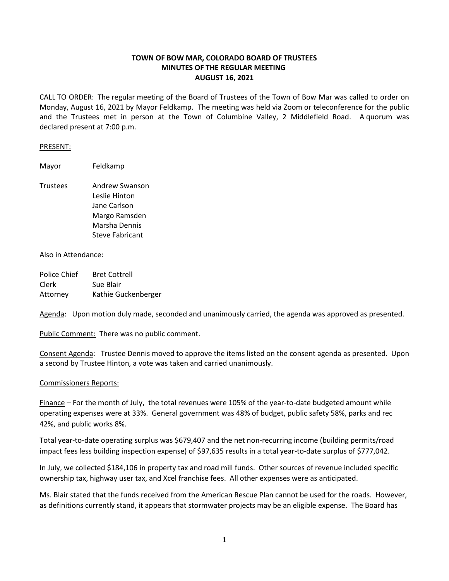# **TOWN OF BOW MAR, COLORADO BOARD OF TRUSTEES MINUTES OF THE REGULAR MEETING AUGUST 16, 2021**

CALL TO ORDER: The regular meeting of the Board of Trustees of the Town of Bow Mar was called to order on Monday, August 16, 2021 by Mayor Feldkamp. The meeting was held via Zoom or teleconference for the public and the Trustees met in person at the Town of Columbine Valley, 2 Middlefield Road. A quorum was declared present at 7:00 p.m.

#### PRESENT:

Mayor Feldkamp

Trustees Andrew Swanson Leslie Hinton Jane Carlson Margo Ramsden Marsha Dennis Steve Fabricant

### Also in Attendance:

| Police Chief | <b>Bret Cottrell</b> |
|--------------|----------------------|
| Clerk        | Sue Blair            |
| Attorney     | Kathie Guckenberger  |

Agenda: Upon motion duly made, seconded and unanimously carried, the agenda was approved as presented.

Public Comment: There was no public comment.

Consent Agenda: Trustee Dennis moved to approve the items listed on the consent agenda as presented. Upon a second by Trustee Hinton, a vote was taken and carried unanimously.

## Commissioners Reports:

Finance – For the month of July, the total revenues were 105% of the year-to-date budgeted amount while operating expenses were at 33%. General government was 48% of budget, public safety 58%, parks and rec 42%, and public works 8%.

Total year-to-date operating surplus was \$679,407 and the net non-recurring income (building permits/road impact fees less building inspection expense) of \$97,635 results in a total year-to-date surplus of \$777,042.

In July, we collected \$184,106 in property tax and road mill funds. Other sources of revenue included specific ownership tax, highway user tax, and Xcel franchise fees. All other expenses were as anticipated.

Ms. Blair stated that the funds received from the American Rescue Plan cannot be used for the roads. However, as definitions currently stand, it appears that stormwater projects may be an eligible expense. The Board has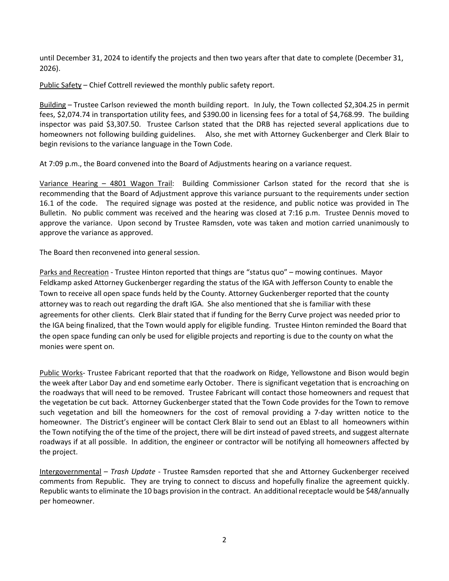until December 31, 2024 to identify the projects and then two years after that date to complete (December 31, 2026).

Public Safety – Chief Cottrell reviewed the monthly public safety report.

Building – Trustee Carlson reviewed the month building report. In July, the Town collected \$2,304.25 in permit fees, \$2,074.74 in transportation utility fees, and \$390.00 in licensing fees for a total of \$4,768.99. The building inspector was paid \$3,307.50. Trustee Carlson stated that the DRB has rejected several applications due to homeowners not following building guidelines. Also, she met with Attorney Guckenberger and Clerk Blair to begin revisions to the variance language in the Town Code.

At 7:09 p.m., the Board convened into the Board of Adjustments hearing on a variance request.

Variance Hearing – 4801 Wagon Trail: Building Commissioner Carlson stated for the record that she is recommending that the Board of Adjustment approve this variance pursuant to the requirements under section 16.1 of the code. The required signage was posted at the residence, and public notice was provided in The Bulletin. No public comment was received and the hearing was closed at 7:16 p.m. Trustee Dennis moved to approve the variance. Upon second by Trustee Ramsden, vote was taken and motion carried unanimously to approve the variance as approved.

The Board then reconvened into general session.

Parks and Recreation - Trustee Hinton reported that things are "status quo" – mowing continues. Mayor Feldkamp asked Attorney Guckenberger regarding the status of the IGA with Jefferson County to enable the Town to receive all open space funds held by the County. Attorney Guckenberger reported that the county attorney was to reach out regarding the draft IGA. She also mentioned that she is familiar with these agreements for other clients. Clerk Blair stated that if funding for the Berry Curve project was needed prior to the IGA being finalized, that the Town would apply for eligible funding. Trustee Hinton reminded the Board that the open space funding can only be used for eligible projects and reporting is due to the county on what the monies were spent on.

Public Works- Trustee Fabricant reported that that the roadwork on Ridge, Yellowstone and Bison would begin the week after Labor Day and end sometime early October. There is significant vegetation that is encroaching on the roadways that will need to be removed. Trustee Fabricant will contact those homeowners and request that the vegetation be cut back. Attorney Guckenberger stated that the Town Code provides for the Town to remove such vegetation and bill the homeowners for the cost of removal providing a 7-day written notice to the homeowner. The District's engineer will be contact Clerk Blair to send out an Eblast to all homeowners within the Town notifying the of the time of the project, there will be dirt instead of paved streets, and suggest alternate roadways if at all possible. In addition, the engineer or contractor will be notifying all homeowners affected by the project.

Intergovernmental – *Trash Update* - Trustee Ramsden reported that she and Attorney Guckenberger received comments from Republic. They are trying to connect to discuss and hopefully finalize the agreement quickly. Republic wants to eliminate the 10 bags provision in the contract. An additional receptacle would be \$48/annually per homeowner.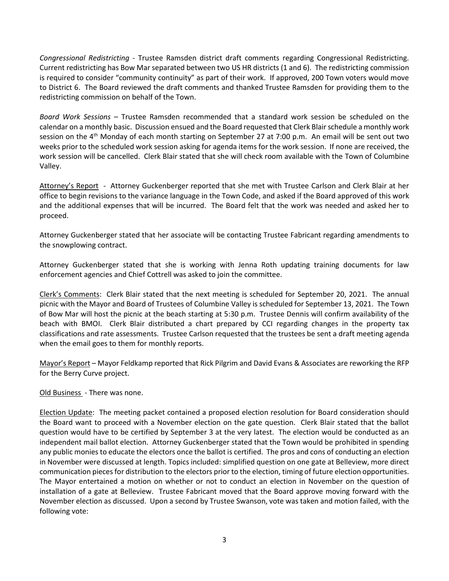*Congressional Redistricting* - Trustee Ramsden district draft comments regarding Congressional Redistricting. Current redistricting has Bow Mar separated between two US HR districts (1 and 6). The redistricting commission is required to consider "community continuity" as part of their work. If approved, 200 Town voters would move to District 6. The Board reviewed the draft comments and thanked Trustee Ramsden for providing them to the redistricting commission on behalf of the Town.

*Board Work Sessions* – Trustee Ramsden recommended that a standard work session be scheduled on the calendar on a monthly basic. Discussion ensued and the Board requested that Clerk Blair schedule a monthly work session on the 4<sup>th</sup> Monday of each month starting on September 27 at 7:00 p.m. An email will be sent out two weeks prior to the scheduled work session asking for agenda items for the work session. If none are received, the work session will be cancelled. Clerk Blair stated that she will check room available with the Town of Columbine Valley.

Attorney's Report - Attorney Guckenberger reported that she met with Trustee Carlson and Clerk Blair at her office to begin revisions to the variance language in the Town Code, and asked if the Board approved of this work and the additional expenses that will be incurred. The Board felt that the work was needed and asked her to proceed.

Attorney Guckenberger stated that her associate will be contacting Trustee Fabricant regarding amendments to the snowplowing contract.

Attorney Guckenberger stated that she is working with Jenna Roth updating training documents for law enforcement agencies and Chief Cottrell was asked to join the committee.

Clerk's Comments: Clerk Blair stated that the next meeting is scheduled for September 20, 2021. The annual picnic with the Mayor and Board of Trustees of Columbine Valley is scheduled for September 13, 2021. The Town of Bow Mar will host the picnic at the beach starting at 5:30 p.m. Trustee Dennis will confirm availability of the beach with BMOI. Clerk Blair distributed a chart prepared by CCI regarding changes in the property tax classifications and rate assessments. Trustee Carlson requested that the trustees be sent a draft meeting agenda when the email goes to them for monthly reports.

Mayor's Report – Mayor Feldkamp reported that Rick Pilgrim and David Evans & Associates are reworking the RFP for the Berry Curve project.

Old Business - There was none.

Election Update: The meeting packet contained a proposed election resolution for Board consideration should the Board want to proceed with a November election on the gate question. Clerk Blair stated that the ballot question would have to be certified by September 3 at the very latest. The election would be conducted as an independent mail ballot election. Attorney Guckenberger stated that the Town would be prohibited in spending any public monies to educate the electors once the ballot is certified. The pros and cons of conducting an election in November were discussed at length. Topics included: simplified question on one gate at Belleview, more direct communication pieces for distribution to the electors prior to the election, timing of future election opportunities. The Mayor entertained a motion on whether or not to conduct an election in November on the question of installation of a gate at Belleview. Trustee Fabricant moved that the Board approve moving forward with the November election as discussed. Upon a second by Trustee Swanson, vote was taken and motion failed, with the following vote: